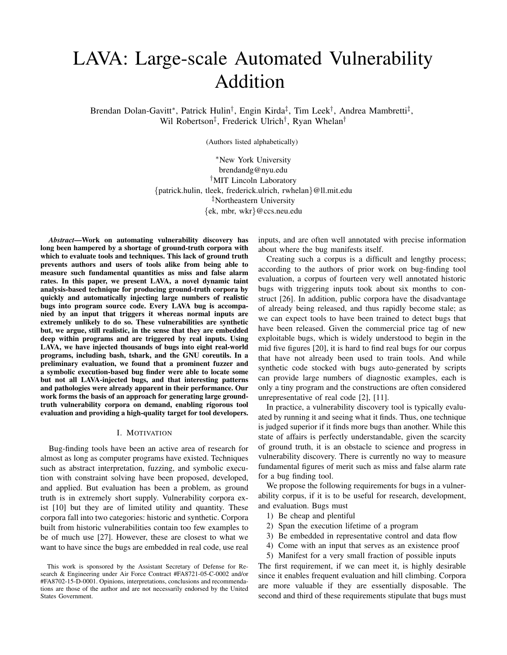# LAVA: Large-scale Automated Vulnerability Addition

Brendan Dolan-Gavitt\*, Patrick Hulin<sup>†</sup>, Engin Kirda<sup>‡</sup>, Tim Leek<sup>†</sup>, Andrea Mambretti<sup>‡</sup>, Wil Robertson<sup>‡</sup>, Frederick Ulrich<sup>†</sup>, Ryan Whelan<sup>†</sup>

(Authors listed alphabetically)

<sup>∗</sup>New York University brendandg@nyu.edu †MIT Lincoln Laboratory {patrick.hulin, tleek, frederick.ulrich, rwhelan}@ll.mit.edu ‡Northeastern University {ek, mbr, wkr}@ccs.neu.edu

*Abstract*—Work on automating vulnerability discovery has long been hampered by a shortage of ground-truth corpora with which to evaluate tools and techniques. This lack of ground truth prevents authors and users of tools alike from being able to measure such fundamental quantities as miss and false alarm rates. In this paper, we present LAVA, a novel dynamic taint analysis-based technique for producing ground-truth corpora by quickly and automatically injecting large numbers of realistic bugs into program source code. Every LAVA bug is accompanied by an input that triggers it whereas normal inputs are extremely unlikely to do so. These vulnerabilities are synthetic but, we argue, still realistic, in the sense that they are embedded deep within programs and are triggered by real inputs. Using LAVA, we have injected thousands of bugs into eight real-world programs, including bash, tshark, and the GNU coreutils. In a preliminary evaluation, we found that a prominent fuzzer and a symbolic execution-based bug finder were able to locate some but not all LAVA-injected bugs, and that interesting patterns and pathologies were already apparent in their performance. Our work forms the basis of an approach for generating large groundtruth vulnerability corpora on demand, enabling rigorous tool evaluation and providing a high-quality target for tool developers.

#### I. MOTIVATION

Bug-finding tools have been an active area of research for almost as long as computer programs have existed. Techniques such as abstract interpretation, fuzzing, and symbolic execution with constraint solving have been proposed, developed, and applied. But evaluation has been a problem, as ground truth is in extremely short supply. Vulnerability corpora exist [10] but they are of limited utility and quantity. These corpora fall into two categories: historic and synthetic. Corpora built from historic vulnerabilities contain too few examples to be of much use [27]. However, these are closest to what we want to have since the bugs are embedded in real code, use real inputs, and are often well annotated with precise information about where the bug manifests itself.

Creating such a corpus is a difficult and lengthy process; according to the authors of prior work on bug-finding tool evaluation, a corpus of fourteen very well annotated historic bugs with triggering inputs took about six months to construct [26]. In addition, public corpora have the disadvantage of already being released, and thus rapidly become stale; as we can expect tools to have been trained to detect bugs that have been released. Given the commercial price tag of new exploitable bugs, which is widely understood to begin in the mid five figures [20], it is hard to find real bugs for our corpus that have not already been used to train tools. And while synthetic code stocked with bugs auto-generated by scripts can provide large numbers of diagnostic examples, each is only a tiny program and the constructions are often considered unrepresentative of real code [2], [11].

In practice, a vulnerability discovery tool is typically evaluated by running it and seeing what it finds. Thus, one technique is judged superior if it finds more bugs than another. While this state of affairs is perfectly understandable, given the scarcity of ground truth, it is an obstacle to science and progress in vulnerability discovery. There is currently no way to measure fundamental figures of merit such as miss and false alarm rate for a bug finding tool.

We propose the following requirements for bugs in a vulnerability corpus, if it is to be useful for research, development, and evaluation. Bugs must

- 1) Be cheap and plentiful
- 2) Span the execution lifetime of a program
- 3) Be embedded in representative control and data flow
- 4) Come with an input that serves as an existence proof
- 5) Manifest for a very small fraction of possible inputs

The first requirement, if we can meet it, is highly desirable since it enables frequent evaluation and hill climbing. Corpora are more valuable if they are essentially disposable. The second and third of these requirements stipulate that bugs must

This work is sponsored by the Assistant Secretary of Defense for Research & Engineering under Air Force Contract #FA8721-05-C-0002 and/or #FA8702-15-D-0001. Opinions, interpretations, conclusions and recommendations are those of the author and are not necessarily endorsed by the United States Government.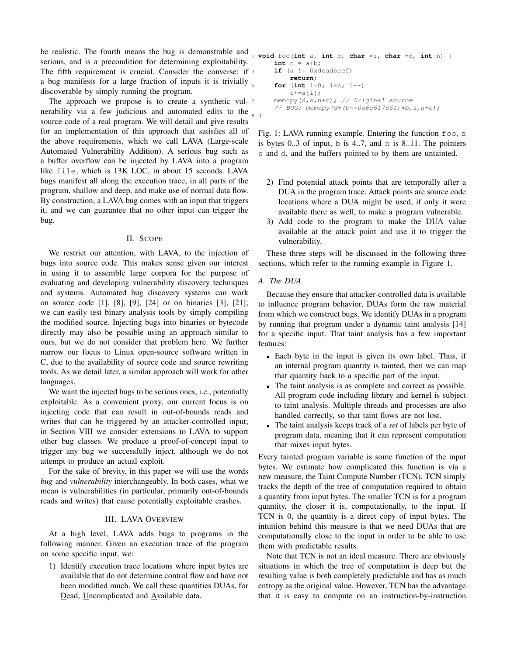be realistic. The fourth means the bug is demonstrable and <sup>1</sup> **void** foo(**int** a, **int** b, **char** \*s, **char** \*d, **int** n) { serious, and is a precondition for determining exploitability. The fifth requirement is crucial. Consider the converse: if <sup>3</sup> a bug manifests for a large fraction of inputs it is trivially discoverable by simply running the program.

The approach we propose is to create a synthetic vulnerability via a few judicious and automated edits to the source code of a real program. We will detail and give results for an implementation of this approach that satisfies all of the above requirements, which we call LAVA (Large-scale Automated Vulnerability Addition). A serious bug such as a buffer overflow can be injected by LAVA into a program like file, which is 13K LOC, in about 15 seconds. LAVA bugs manifest all along the execution trace, in all parts of the program, shallow and deep, and make use of normal data flow. By construction, a LAVA bug comes with an input that triggers it, and we can guarantee that no other input can trigger the bug.

## II. SCOPE

We restrict our attention, with LAVA, to the injection of bugs into source code. This makes sense given our interest in using it to assemble large corpora for the purpose of evaluating and developing vulnerability discovery techniques and systems. Automated bug discovery systems can work on source code [1], [8], [9], [24] or on binaries [3], [21]; we can easily test binary analysis tools by simply compiling the modified source. Injecting bugs into binaries or bytecode directly may also be possible using an approach similar to ours, but we do not consider that problem here. We further narrow our focus to Linux open-source software written in C, due to the availability of source code and source rewriting tools. As we detail later, a similar approach will work for other languages.

We want the injected bugs to be serious ones, i.e., potentially exploitable. As a convenient proxy, our current focus is on injecting code that can result in out-of-bounds reads and writes that can be triggered by an attacker-controlled input; in Section VIII we consider extensions to LAVA to support other bug classes. We produce a proof-of-concept input to trigger any bug we successfully inject, although we do not attempt to produce an actual exploit.

For the sake of brevity, in this paper we will use the words *bug* and *vulnerability* interchangeably. In both cases, what we mean is vulnerabilities (in particular, primarily out-of-bounds reads and writes) that cause potentially exploitable crashes.

## III. LAVA OVERVIEW

At a high level, LAVA adds bugs to programs in the following manner. Given an execution trace of the program on some specific input, we:

1) Identify execution trace locations where input bytes are available that do not determine control flow and have not been modified much. We call these quantities DUAs, for Dead, Uncomplicated and Available data.

```
int c = a+b;
     if (a != 0xdeadbeef)return;
     for (int i=0; i \leq n; i++)c+=s[i];memcpy(d,s,n+c); // Original source
     // BUG: memcpy(d+(b==0x6c617661)*b, s, n+c);
9 }
```
Fig. 1: LAVA running example. Entering the function foo, a is bytes 0..3 of input, b is 4..7, and n is 8..11. The pointers s and d, and the buffers pointed to by them are untainted.

- 2) Find potential attack points that are temporally after a DUA in the program trace. Attack points are source code locations where a DUA might be used, if only it were available there as well, to make a program vulnerable.
- 3) Add code to the program to make the DUA value available at the attack point and use it to trigger the vulnerability.

These three steps will be discussed in the following three sections, which refer to the running example in Figure 1.

# *A. The DUA*

Because they ensure that attacker-controlled data is available to influence program behavior, DUAs form the raw material from which we construct bugs. We identify DUAs in a program by running that program under a dynamic taint analysis [14] for a specific input. That taint analysis has a few important features:

- Each byte in the input is given its own label. Thus, if an internal program quantity is tainted, then we can map that quantity back to a specific part of the input.
- The taint analysis is as complete and correct as possible. All program code including library and kernel is subject to taint analysis. Multiple threads and processes are also handled correctly, so that taint flows are not lost.
- The taint analysis keeps track of a *set* of labels per byte of program data, meaning that it can represent computation that mixes input bytes.

Every tainted program variable is some function of the input bytes. We estimate how complicated this function is via a new measure, the Taint Compute Number (TCN). TCN simply tracks the depth of the tree of computation required to obtain a quantity from input bytes. The smaller TCN is for a program quantity, the closer it is, computationally, to the input. If TCN is 0, the quantity is a direct copy of input bytes. The intuition behind this measure is that we need DUAs that are computationally close to the input in order to be able to use them with predictable results.

Note that TCN is not an ideal measure. There are obviously situations in which the tree of computation is deep but the resulting value is both completely predictable and has as much entropy as the original value. However, TCN has the advantage that it is easy to compute on an instruction-by-instruction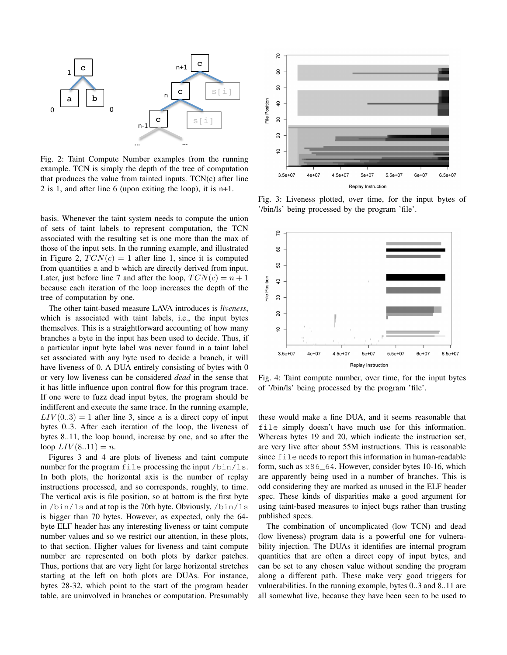

Fig. 2: Taint Compute Number examples from the running example. TCN is simply the depth of the tree of computation that produces the value from tainted inputs. TCN(c) after line 2 is 1, and after line 6 (upon exiting the loop), it is n+1.

basis. Whenever the taint system needs to compute the union of sets of taint labels to represent computation, the TCN associated with the resulting set is one more than the max of those of the input sets. In the running example, and illustrated in Figure 2,  $TCN(c) = 1$  after line 1, since it is computed from quantities a and b which are directly derived from input. Later, just before line 7 and after the loop,  $TCN(c) = n + 1$ because each iteration of the loop increases the depth of the tree of computation by one.

The other taint-based measure LAVA introduces is *liveness*, which is associated with taint labels, i.e., the input bytes themselves. This is a straightforward accounting of how many branches a byte in the input has been used to decide. Thus, if a particular input byte label was never found in a taint label set associated with any byte used to decide a branch, it will have liveness of 0. A DUA entirely consisting of bytes with 0 or very low liveness can be considered *dead* in the sense that it has little influence upon control flow for this program trace. If one were to fuzz dead input bytes, the program should be indifferent and execute the same trace. In the running example,  $LIV(0..3) = 1$  after line 3, since a is a direct copy of input bytes 0..3. After each iteration of the loop, the liveness of bytes 8..11, the loop bound, increase by one, and so after the loop  $LIV(8..11) = n$ .

Figures 3 and 4 are plots of liveness and taint compute number for the program file processing the input /bin/ls. In both plots, the horizontal axis is the number of replay instructions processed, and so corresponds, roughly, to time. The vertical axis is file position, so at bottom is the first byte in /bin/ls and at top is the 70th byte. Obviously, /bin/ls is bigger than 70 bytes. However, as expected, only the 64 byte ELF header has any interesting liveness or taint compute number values and so we restrict our attention, in these plots, to that section. Higher values for liveness and taint compute number are represented on both plots by darker patches. Thus, portions that are very light for large horizontal stretches starting at the left on both plots are DUAs. For instance, bytes 28-32, which point to the start of the program header table, are uninvolved in branches or computation. Presumably



Fig. 3: Liveness plotted, over time, for the input bytes of '/bin/ls' being processed by the program 'file'.



Fig. 4: Taint compute number, over time, for the input bytes of '/bin/ls' being processed by the program 'file'.

these would make a fine DUA, and it seems reasonable that file simply doesn't have much use for this information. Whereas bytes 19 and 20, which indicate the instruction set, are very live after about 55M instructions. This is reasonable since file needs to report this information in human-readable form, such as x86\_64. However, consider bytes 10-16, which are apparently being used in a number of branches. This is odd considering they are marked as unused in the ELF header spec. These kinds of disparities make a good argument for using taint-based measures to inject bugs rather than trusting published specs.

The combination of uncomplicated (low TCN) and dead (low liveness) program data is a powerful one for vulnerability injection. The DUAs it identifies are internal program quantities that are often a direct copy of input bytes, and can be set to any chosen value without sending the program along a different path. These make very good triggers for vulnerabilities. In the running example, bytes 0..3 and 8..11 are all somewhat live, because they have been seen to be used to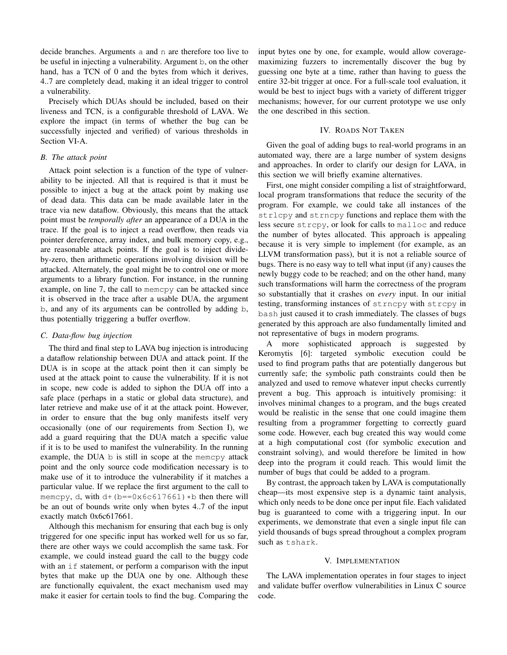decide branches. Arguments a and n are therefore too live to be useful in injecting a vulnerability. Argument b, on the other hand, has a TCN of 0 and the bytes from which it derives, 4..7 are completely dead, making it an ideal trigger to control a vulnerability.

Precisely which DUAs should be included, based on their liveness and TCN, is a configurable threshold of LAVA. We explore the impact (in terms of whether the bug can be successfully injected and verified) of various thresholds in Section VI-A.

# *B. The attack point*

Attack point selection is a function of the type of vulnerability to be injected. All that is required is that it must be possible to inject a bug at the attack point by making use of dead data. This data can be made available later in the trace via new dataflow. Obviously, this means that the attack point must be *temporally after* an appearance of a DUA in the trace. If the goal is to inject a read overflow, then reads via pointer dereference, array index, and bulk memory copy, e.g., are reasonable attack points. If the goal is to inject divideby-zero, then arithmetic operations involving division will be attacked. Alternately, the goal might be to control one or more arguments to a library function. For instance, in the running example, on line 7, the call to memcpy can be attacked since it is observed in the trace after a usable DUA, the argument b, and any of its arguments can be controlled by adding b, thus potentially triggering a buffer overflow.

#### *C. Data-flow bug injection*

The third and final step to LAVA bug injection is introducing a dataflow relationship between DUA and attack point. If the DUA is in scope at the attack point then it can simply be used at the attack point to cause the vulnerability. If it is not in scope, new code is added to siphon the DUA off into a safe place (perhaps in a static or global data structure), and later retrieve and make use of it at the attack point. However, in order to ensure that the bug only manifests itself very occasionally (one of our requirements from Section I), we add a guard requiring that the DUA match a specific value if it is to be used to manifest the vulnerability. In the running example, the DUA b is still in scope at the memcpy attack point and the only source code modification necessary is to make use of it to introduce the vulnerability if it matches a particular value. If we replace the first argument to the call to memcpy, d, with  $d+(b==0x6c617661)*b$  then there will be an out of bounds write only when bytes 4..7 of the input exactly match 0x6c617661.

Although this mechanism for ensuring that each bug is only triggered for one specific input has worked well for us so far, there are other ways we could accomplish the same task. For example, we could instead guard the call to the buggy code with an if statement, or perform a comparison with the input bytes that make up the DUA one by one. Although these are functionally equivalent, the exact mechanism used may make it easier for certain tools to find the bug. Comparing the input bytes one by one, for example, would allow coveragemaximizing fuzzers to incrementally discover the bug by guessing one byte at a time, rather than having to guess the entire 32-bit trigger at once. For a full-scale tool evaluation, it would be best to inject bugs with a variety of different trigger mechanisms; however, for our current prototype we use only the one described in this section.

## IV. ROADS NOT TAKEN

Given the goal of adding bugs to real-world programs in an automated way, there are a large number of system designs and approaches. In order to clarify our design for LAVA, in this section we will briefly examine alternatives.

First, one might consider compiling a list of straightforward, local program transformations that reduce the security of the program. For example, we could take all instances of the strlcpy and strncpy functions and replace them with the less secure strcpy, or look for calls to malloc and reduce the number of bytes allocated. This approach is appealing because it is very simple to implement (for example, as an LLVM transformation pass), but it is not a reliable source of bugs. There is no easy way to tell what input (if any) causes the newly buggy code to be reached; and on the other hand, many such transformations will harm the correctness of the program so substantially that it crashes on *every* input. In our initial testing, transforming instances of strncpy with strcpy in bash just caused it to crash immediately. The classes of bugs generated by this approach are also fundamentally limited and not representative of bugs in modern programs.

A more sophisticated approach is suggested by Keromytis [6]: targeted symbolic execution could be used to find program paths that are potentially dangerous but currently safe; the symbolic path constraints could then be analyzed and used to remove whatever input checks currently prevent a bug. This approach is intuitively promising: it involves minimal changes to a program, and the bugs created would be realistic in the sense that one could imagine them resulting from a programmer forgetting to correctly guard some code. However, each bug created this way would come at a high computational cost (for symbolic execution and constraint solving), and would therefore be limited in how deep into the program it could reach. This would limit the number of bugs that could be added to a program.

By contrast, the approach taken by LAVA is computationally cheap—its most expensive step is a dynamic taint analysis, which only needs to be done once per input file. Each validated bug is guaranteed to come with a triggering input. In our experiments, we demonstrate that even a single input file can yield thousands of bugs spread throughout a complex program such as tshark.

#### V. IMPLEMENTATION

The LAVA implementation operates in four stages to inject and validate buffer overflow vulnerabilities in Linux C source code.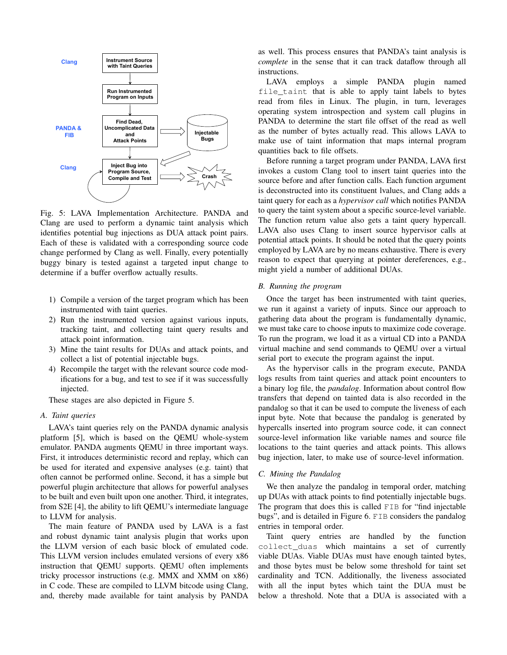

Fig. 5: LAVA Implementation Architecture. PANDA and Clang are used to perform a dynamic taint analysis which identifies potential bug injections as DUA attack point pairs. Each of these is validated with a corresponding source code change performed by Clang as well. Finally, every potentially buggy binary is tested against a targeted input change to determine if a buffer overflow actually results.

- 1) Compile a version of the target program which has been instrumented with taint queries.
- 2) Run the instrumented version against various inputs, tracking taint, and collecting taint query results and attack point information.
- 3) Mine the taint results for DUAs and attack points, and collect a list of potential injectable bugs.
- 4) Recompile the target with the relevant source code modifications for a bug, and test to see if it was successfully injected.

These stages are also depicted in Figure 5.

*A. Taint queries*

LAVA's taint queries rely on the PANDA dynamic analysis platform [5], which is based on the QEMU whole-system emulator. PANDA augments QEMU in three important ways. First, it introduces deterministic record and replay, which can be used for iterated and expensive analyses (e.g. taint) that often cannot be performed online. Second, it has a simple but powerful plugin architecture that allows for powerful analyses to be built and even built upon one another. Third, it integrates, from S2E [4], the ability to lift QEMU's intermediate language to LLVM for analysis.

The main feature of PANDA used by LAVA is a fast and robust dynamic taint analysis plugin that works upon the LLVM version of each basic block of emulated code. This LLVM version includes emulated versions of every x86 instruction that QEMU supports. QEMU often implements tricky processor instructions (e.g. MMX and XMM on x86) in C code. These are compiled to LLVM bitcode using Clang, and, thereby made available for taint analysis by PANDA as well. This process ensures that PANDA's taint analysis is *complete* in the sense that it can track dataflow through all instructions.

LAVA employs a simple PANDA plugin named file taint that is able to apply taint labels to bytes read from files in Linux. The plugin, in turn, leverages operating system introspection and system call plugins in PANDA to determine the start file offset of the read as well as the number of bytes actually read. This allows LAVA to make use of taint information that maps internal program quantities back to file offsets.

Before running a target program under PANDA, LAVA first invokes a custom Clang tool to insert taint queries into the source before and after function calls. Each function argument is deconstructed into its constituent lvalues, and Clang adds a taint query for each as a *hypervisor call* which notifies PANDA to query the taint system about a specific source-level variable. The function return value also gets a taint query hypercall. LAVA also uses Clang to insert source hypervisor calls at potential attack points. It should be noted that the query points employed by LAVA are by no means exhaustive. There is every reason to expect that querying at pointer dereferences, e.g., might yield a number of additional DUAs.

# *B. Running the program*

Once the target has been instrumented with taint queries, we run it against a variety of inputs. Since our approach to gathering data about the program is fundamentally dynamic, we must take care to choose inputs to maximize code coverage. To run the program, we load it as a virtual CD into a PANDA virtual machine and send commands to QEMU over a virtual serial port to execute the program against the input.

As the hypervisor calls in the program execute, PANDA logs results from taint queries and attack point encounters to a binary log file, the *pandalog*. Information about control flow transfers that depend on tainted data is also recorded in the pandalog so that it can be used to compute the liveness of each input byte. Note that because the pandalog is generated by hypercalls inserted into program source code, it can connect source-level information like variable names and source file locations to the taint queries and attack points. This allows bug injection, later, to make use of source-level information.

# *C. Mining the Pandalog*

We then analyze the pandalog in temporal order, matching up DUAs with attack points to find potentially injectable bugs. The program that does this is called FIB for "find injectable bugs", and is detailed in Figure 6. FIB considers the pandalog entries in temporal order.

Taint query entries are handled by the function collect\_duas which maintains a set of currently viable DUAs. Viable DUAs must have enough tainted bytes, and those bytes must be below some threshold for taint set cardinality and TCN. Additionally, the liveness associated with all the input bytes which taint the DUA must be below a threshold. Note that a DUA is associated with a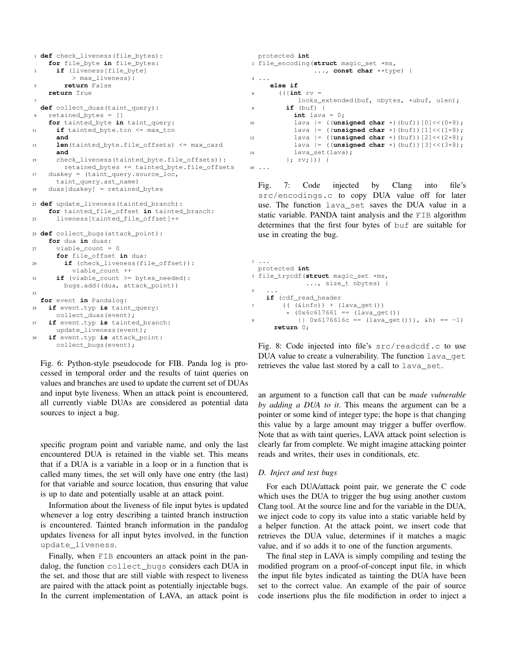```
1 def check_liveness(file_bytes):
    for file_byte in file_bytes:
3 if (liveness[file_byte]
         > max_liveness):
5 return False
    return True
7
 def collect_duas(taint_query):
    9 retained_bytes = []
    for tainted_byte in taint_query:
11 if tainted_byte.tcn <= max_tcn
      and
13 len(tainted_byte.file_offsets) <= max_card
      and
15 check_liveness(tainted_byte.file_offsets)):
        retained_bytes += tainted_byte.file_offsets
17 duakey = (taint_query.source_loc,
     taint_query.ast_name)
19 duas[duakey] = retained_bytes
21 def update_liveness(tainted_branch):
    for tainted_file_offset in tainted_branch:
23 liveness[tainted_file_offset]++
25 def collect_bugs(attack_point):
    for dua in duas:
27 viable_count = 0
      for file_offset in dua:
29 if (check_liveness(file_offset)):
         viable_count ++
31 if (viable_count >= bytes_needed):
       bugs.add((dua, attack_point))
33
  for event in Pandalog:
35 if event.typ is taint_query:
      collect_duas(event);
37 if event.typ is tainted_branch:
     update liveness(event);
39 if event.typ is attack_point:
      collect_bugs(event);
```
Fig. 6: Python-style pseudocode for FIB. Panda log is processed in temporal order and the results of taint queries on values and branches are used to update the current set of DUAs and input byte liveness. When an attack point is encountered, all currently viable DUAs are considered as potential data sources to inject a bug.

specific program point and variable name, and only the last encountered DUA is retained in the viable set. This means that if a DUA is a variable in a loop or in a function that is called many times, the set will only have one entry (the last) for that variable and source location, thus ensuring that value is up to date and potentially usable at an attack point.

Information about the liveness of file input bytes is updated whenever a log entry describing a tainted branch instruction is encountered. Tainted branch information in the pandalog updates liveness for all input bytes involved, in the function update\_liveness.

Finally, when FIB encounters an attack point in the pandalog, the function collect\_bugs considers each DUA in the set, and those that are still viable with respect to liveness are paired with the attack point as potentially injectable bugs. In the current implementation of LAVA, an attack point is

```
protected int
2 file_encoding(struct magic_set *ms,
                ..., const char **type) {
 4 ...
    else if
       (( \{int \ r \vee =
            looks_extended(buf, nbytes, *ubuf, ulen);
8 if (buf) {
           int lava = 0;
10 lava | = ((unsigned char *)(buf))[0] << (0*8);
           lava | = ((unsigned char *)(buf))[1] << (1*8);
12 lava | = ((unsigned char *)(buf))[2] << (2*8);
           lava |= ((unsigned char *)(buf))[3]<<(3*8);
14 lava set(lava);
         }; rv;})) {
16 ...
```
Fig. 7: Code injected by Clang into file's src/encodings.c to copy DUA value off for later use. The function lava\_set saves the DUA value in a static variable. PANDA taint analysis and the FIB algorithm determines that the first four bytes of buf are suitable for use in creating the bug.

```
1 ...
 protected int
3 file_trycdf(struct magic_set *ms,
             ..., size_t nbytes) {
5 \cdot \cdot \cdotif (cdf_read_header
7 (( (&info)) + (lava_get())
          (0x6c617661 == (lawa_get())9 |\int 0x6176616c == (lawa.get()), &h) == -1)
     return 0;
```
Fig. 8: Code injected into file's src/readcdf.c to use DUA value to create a vulnerability. The function lava qet retrieves the value last stored by a call to lava\_set.

an argument to a function call that can be *made vulnerable by adding a DUA to it*. This means the argument can be a pointer or some kind of integer type; the hope is that changing this value by a large amount may trigger a buffer overflow. Note that as with taint queries, LAVA attack point selection is clearly far from complete. We might imagine attacking pointer reads and writes, their uses in conditionals, etc.

## *D. Inject and test bugs*

For each DUA/attack point pair, we generate the C code which uses the DUA to trigger the bug using another custom Clang tool. At the source line and for the variable in the DUA, we inject code to copy its value into a static variable held by a helper function. At the attack point, we insert code that retrieves the DUA value, determines if it matches a magic value, and if so adds it to one of the function arguments.

The final step in LAVA is simply compiling and testing the modified program on a proof-of-concept input file, in which the input file bytes indicated as tainting the DUA have been set to the correct value. An example of the pair of source code insertions plus the file modifiction in order to inject a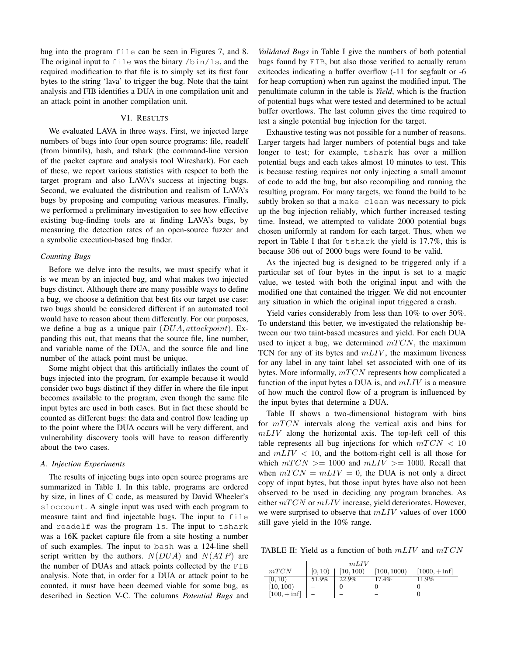bug into the program file can be seen in Figures 7, and 8. The original input to file was the binary /bin/ls, and the required modification to that file is to simply set its first four bytes to the string 'lava' to trigger the bug. Note that the taint analysis and FIB identifies a DUA in one compilation unit and an attack point in another compilation unit.

## VI. RESULTS

We evaluated LAVA in three ways. First, we injected large numbers of bugs into four open source programs: file, readelf (from binutils), bash, and tshark (the command-line version of the packet capture and analysis tool Wireshark). For each of these, we report various statistics with respect to both the target program and also LAVA's success at injecting bugs. Second, we evaluated the distribution and realism of LAVA's bugs by proposing and computing various measures. Finally, we performed a preliminary investigation to see how effective existing bug-finding tools are at finding LAVA's bugs, by measuring the detection rates of an open-source fuzzer and a symbolic execution-based bug finder.

#### *Counting Bugs*

Before we delve into the results, we must specify what it is we mean by an injected bug, and what makes two injected bugs distinct. Although there are many possible ways to define a bug, we choose a definition that best fits our target use case: two bugs should be considered different if an automated tool would have to reason about them differently. For our purposes, we define a bug as a unique pair  $(DUA, attackpoint)$ . Expanding this out, that means that the source file, line number, and variable name of the DUA, and the source file and line number of the attack point must be unique.

Some might object that this artificially inflates the count of bugs injected into the program, for example because it would consider two bugs distinct if they differ in where the file input becomes available to the program, even though the same file input bytes are used in both cases. But in fact these should be counted as different bugs: the data and control flow leading up to the point where the DUA occurs will be very different, and vulnerability discovery tools will have to reason differently about the two cases.

#### *A. Injection Experiments*

The results of injecting bugs into open source programs are summarized in Table I. In this table, programs are ordered by size, in lines of C code, as measured by David Wheeler's sloccount. A single input was used with each program to measure taint and find injectable bugs. The input to file and readelf was the program ls. The input to tshark was a 16K packet capture file from a site hosting a number of such examples. The input to bash was a 124-line shell script written by the authors.  $N(DUA)$  and  $N(ATP)$  are the number of DUAs and attack points collected by the FIB analysis. Note that, in order for a DUA or attack point to be counted, it must have been deemed viable for some bug, as described in Section V-C. The columns *Potential Bugs* and

*Validated Bugs* in Table I give the numbers of both potential bugs found by FIB, but also those verified to actually return exitcodes indicating a buffer overflow (-11 for segfault or -6 for heap corruption) when run against the modified input. The penultimate column in the table is *Yield*, which is the fraction of potential bugs what were tested and determined to be actual buffer overflows. The last column gives the time required to test a single potential bug injection for the target.

Exhaustive testing was not possible for a number of reasons. Larger targets had larger numbers of potential bugs and take longer to test; for example, tshark has over a million potential bugs and each takes almost 10 minutes to test. This is because testing requires not only injecting a small amount of code to add the bug, but also recompiling and running the resulting program. For many targets, we found the build to be subtly broken so that a make clean was necessary to pick up the bug injection reliably, which further increased testing time. Instead, we attempted to validate 2000 potential bugs chosen uniformly at random for each target. Thus, when we report in Table I that for tshark the yield is 17.7%, this is because 306 out of 2000 bugs were found to be valid.

As the injected bug is designed to be triggered only if a particular set of four bytes in the input is set to a magic value, we tested with both the original input and with the modified one that contained the trigger. We did not encounter any situation in which the original input triggered a crash.

Yield varies considerably from less than 10% to over 50%. To understand this better, we investigated the relationship between our two taint-based measures and yield. For each DUA used to inject a bug, we determined  $mTCN$ , the maximum TCN for any of its bytes and  $mLIV$ , the maximum liveness for any label in any taint label set associated with one of its bytes. More informally,  $mTCN$  represents how complicated a function of the input bytes a DUA is, and  $mLIV$  is a measure of how much the control flow of a program is influenced by the input bytes that determine a DUA.

Table II shows a two-dimensional histogram with bins for  $mTCN$  intervals along the vertical axis and bins for  $mLIV$  along the horizontal axis. The top-left cell of this table represents all bug injections for which  $mTCN < 10$ and  $mLIV < 10$ , and the bottom-right cell is all those for which  $mTCN \ge 1000$  and  $mLIV \ge 1000$ . Recall that when  $mTCN = mLIV = 0$ , the DUA is not only a direct copy of input bytes, but those input bytes have also not been observed to be used in deciding any program branches. As either  $mTCN$  or  $mLIV$  increase, yield deteriorates. However, we were surprised to observe that  $mLIV$  values of over 1000 still gave yield in the 10% range.

TABLE II: Yield as a function of both  $mLIV$  and  $mTCN$ 

|                 | mLIV    |           |             |                        |  |
|-----------------|---------|-----------|-------------|------------------------|--|
| mTCN            | [0, 10) | [10, 100] | [100, 1000] | $[1000, + \text{inf}]$ |  |
| [0, 10)         | 51.9%   | 22.9%     | 17.4%       | 11.9%                  |  |
| [10, 100)       |         |           |             |                        |  |
| $[100, + \inf]$ |         |           |             |                        |  |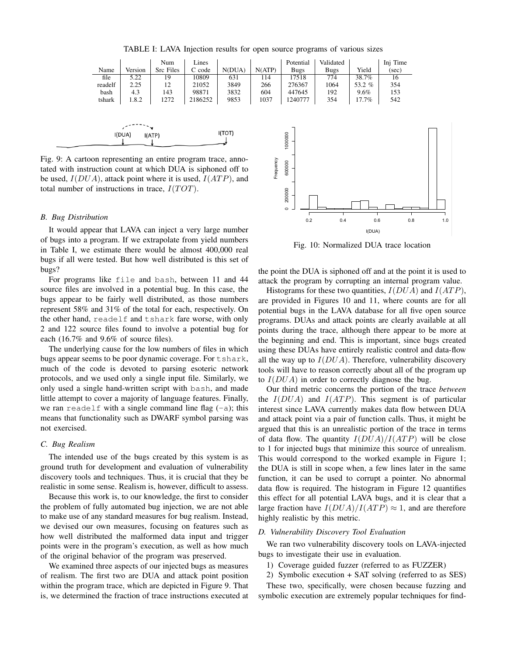TABLE I: LAVA Injection results for open source programs of various sizes

|         |         | Num              | Lines   |        |        | Potential | Validated   |        | Inj Time |
|---------|---------|------------------|---------|--------|--------|-----------|-------------|--------|----------|
| Name    | Version | <b>Src Files</b> | C code  | N(DUA) | N(ATP) | Bugs      | <b>Bugs</b> | Yield  | (sec)    |
| file    | 5.22    | 19               | 10809   | 631    | 14     | 17518     | 774         | 38.7%  | 16       |
| readelf | 2.25    | 12               | 21052   | 3849   | 266    | 276367    | 1064        | 53.2 % | 354      |
| bash    | 4.3     | 143              | 98871   | 3832   | 604    | 447645    | 192         | 9.6%   | 153      |
| tshark  | 1.8.2   | 1272             | 2186252 | 9853   | 1037   | 1240777   | 354         | 17.7%  | 542      |
|         |         |                  |         |        |        |           |             |        |          |



Fig. 9: A cartoon representing an entire program trace, annotated with instruction count at which DUA is siphoned off to be used,  $I(DUA)$ , attack point where it is used,  $I(ATP)$ , and total number of instructions in trace,  $I(TOT)$ .

#### *B. Bug Distribution*

It would appear that LAVA can inject a very large number of bugs into a program. If we extrapolate from yield numbers in Table I, we estimate there would be almost 400,000 real bugs if all were tested. But how well distributed is this set of bugs?

For programs like file and bash, between 11 and 44 source files are involved in a potential bug. In this case, the bugs appear to be fairly well distributed, as those numbers represent 58% and 31% of the total for each, respectively. On the other hand, readelf and tshark fare worse, with only 2 and 122 source files found to involve a potential bug for each (16.7% and 9.6% of source files).

The underlying cause for the low numbers of files in which bugs appear seems to be poor dynamic coverage. For tshark, much of the code is devoted to parsing esoteric network protocols, and we used only a single input file. Similarly, we only used a single hand-written script with bash, and made little attempt to cover a majority of language features. Finally, we ran readelf with a single command line flag  $(-a)$ ; this means that functionality such as DWARF symbol parsing was not exercised.

# *C. Bug Realism*

The intended use of the bugs created by this system is as ground truth for development and evaluation of vulnerability discovery tools and techniques. Thus, it is crucial that they be realistic in some sense. Realism is, however, difficult to assess.

Because this work is, to our knowledge, the first to consider the problem of fully automated bug injection, we are not able to make use of any standard measures for bug realism. Instead, we devised our own measures, focusing on features such as how well distributed the malformed data input and trigger points were in the program's execution, as well as how much of the original behavior of the program was preserved.

We examined three aspects of our injected bugs as measures of realism. The first two are DUA and attack point position within the program trace, which are depicted in Figure 9. That is, we determined the fraction of trace instructions executed at



Fig. 10: Normalized DUA trace location

the point the DUA is siphoned off and at the point it is used to attack the program by corrupting an internal program value.

Histograms for these two quantities,  $I(DUA)$  and  $I(ATP)$ , are provided in Figures 10 and 11, where counts are for all potential bugs in the LAVA database for all five open source programs. DUAs and attack points are clearly available at all points during the trace, although there appear to be more at the beginning and end. This is important, since bugs created using these DUAs have entirely realistic control and data-flow all the way up to  $I(DUA)$ . Therefore, vulnerability discovery tools will have to reason correctly about all of the program up to  $I(DUA)$  in order to correctly diagnose the bug.

Our third metric concerns the portion of the trace *between* the  $I(DUA)$  and  $I(ATP)$ . This segment is of particular interest since LAVA currently makes data flow between DUA and attack point via a pair of function calls. Thus, it might be argued that this is an unrealistic portion of the trace in terms of data flow. The quantity  $I(DUA)/I(ATP)$  will be close to 1 for injected bugs that minimize this source of unrealism. This would correspond to the worked example in Figure 1; the DUA is still in scope when, a few lines later in the same function, it can be used to corrupt a pointer. No abnormal data flow is required. The histogram in Figure 12 quantifies this effect for all potential LAVA bugs, and it is clear that a large fraction have  $I(DUA)/I(ATP) \approx 1$ , and are therefore highly realistic by this metric.

#### *D. Vulnerability Discovery Tool Evaluation*

We ran two vulnerability discovery tools on LAVA-injected bugs to investigate their use in evaluation.

- 1) Coverage guided fuzzer (referred to as FUZZER)
- 2) Symbolic execution + SAT solving (referred to as SES)

These two, specifically, were chosen because fuzzing and symbolic execution are extremely popular techniques for find-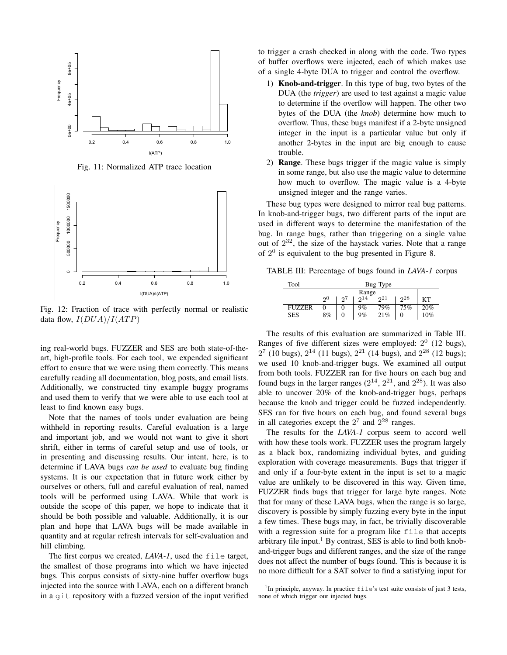

Fig. 11: Normalized ATP trace location



Fig. 12: Fraction of trace with perfectly normal or realistic data flow,  $I(DUA)/I(ATP)$ 

ing real-world bugs. FUZZER and SES are both state-of-theart, high-profile tools. For each tool, we expended significant effort to ensure that we were using them correctly. This means carefully reading all documentation, blog posts, and email lists. Additionally, we constructed tiny example buggy programs and used them to verify that we were able to use each tool at least to find known easy bugs.

Note that the names of tools under evaluation are being withheld in reporting results. Careful evaluation is a large and important job, and we would not want to give it short shrift, either in terms of careful setup and use of tools, or in presenting and discussing results. Our intent, here, is to determine if LAVA bugs *can be used* to evaluate bug finding systems. It is our expectation that in future work either by ourselves or others, full and careful evaluation of real, named tools will be performed using LAVA. While that work is outside the scope of this paper, we hope to indicate that it should be both possible and valuable. Additionally, it is our plan and hope that LAVA bugs will be made available in quantity and at regular refresh intervals for self-evaluation and hill climbing.

The first corpus we created, *LAVA-1*, used the file target, the smallest of those programs into which we have injected bugs. This corpus consists of sixty-nine buffer overflow bugs injected into the source with LAVA, each on a different branch in a git repository with a fuzzed version of the input verified to trigger a crash checked in along with the code. Two types of buffer overflows were injected, each of which makes use of a single 4-byte DUA to trigger and control the overflow.

- 1) Knob-and-trigger. In this type of bug, two bytes of the DUA (the *trigger*) are used to test against a magic value to determine if the overflow will happen. The other two bytes of the DUA (the *knob*) determine how much to overflow. Thus, these bugs manifest if a 2-byte unsigned integer in the input is a particular value but only if another 2-bytes in the input are big enough to cause trouble.
- 2) Range. These bugs trigger if the magic value is simply in some range, but also use the magic value to determine how much to overflow. The magic value is a 4-byte unsigned integer and the range varies.

These bug types were designed to mirror real bug patterns. In knob-and-trigger bugs, two different parts of the input are used in different ways to determine the manifestation of the bug. In range bugs, rather than triggering on a single value out of  $2^{32}$ , the size of the haystack varies. Note that a range of  $2^0$  is equivalent to the bug presented in Figure 8.

TABLE III: Percentage of bugs found in *LAVA-1* corpus

| Tool          | Bug Type |                |     |                |     |        |
|---------------|----------|----------------|-----|----------------|-----|--------|
|               | Range    |                |     |                |     |        |
|               | 20       | 97             | 214 | 2 <sub>1</sub> | 28  | KТ     |
| <b>FUZZER</b> |          | 0              | 9%  | $79\%$         | 75% | 20%    |
| <b>SES</b>    | 8%       | $\overline{0}$ | 9%  | 21%            |     | $10\%$ |

The results of this evaluation are summarized in Table III. Ranges of five different sizes were employed:  $2^0$  (12 bugs),  $2^7$  (10 bugs),  $2^{14}$  (11 bugs),  $2^{21}$  (14 bugs), and  $2^{28}$  (12 bugs); we used 10 knob-and-trigger bugs. We examined all output from both tools. FUZZER ran for five hours on each bug and found bugs in the larger ranges  $(2^{14}, 2^{21}, 2^{28})$ . It was also able to uncover 20% of the knob-and-trigger bugs, perhaps because the knob and trigger could be fuzzed independently. SES ran for five hours on each bug, and found several bugs in all categories except the  $2^7$  and  $2^{28}$  ranges.

The results for the *LAVA-1* corpus seem to accord well with how these tools work. FUZZER uses the program largely as a black box, randomizing individual bytes, and guiding exploration with coverage measurements. Bugs that trigger if and only if a four-byte extent in the input is set to a magic value are unlikely to be discovered in this way. Given time, FUZZER finds bugs that trigger for large byte ranges. Note that for many of these LAVA bugs, when the range is so large, discovery is possible by simply fuzzing every byte in the input a few times. These bugs may, in fact, be trivially discoverable with a regression suite for a program like file that accepts arbitrary file input.<sup>1</sup> By contrast, SES is able to find both knoband-trigger bugs and different ranges, and the size of the range does not affect the number of bugs found. This is because it is no more difficult for a SAT solver to find a satisfying input for

<sup>1</sup>In principle, anyway. In practice file's test suite consists of just 3 tests, none of which trigger our injected bugs.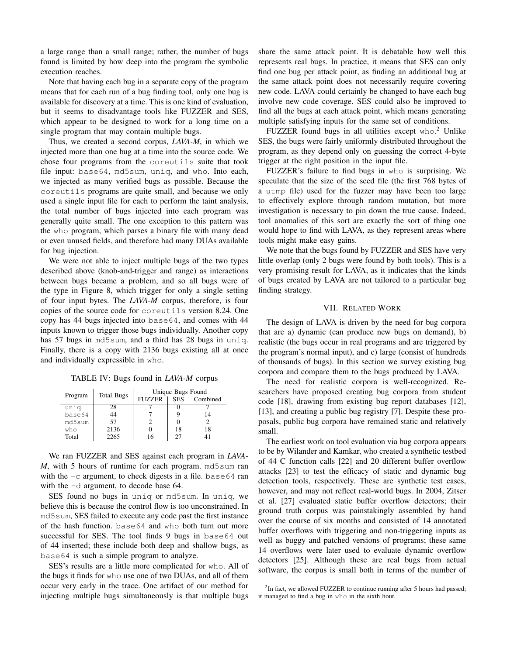a large range than a small range; rather, the number of bugs found is limited by how deep into the program the symbolic execution reaches.

Note that having each bug in a separate copy of the program means that for each run of a bug finding tool, only one bug is available for discovery at a time. This is one kind of evaluation, but it seems to disadvantage tools like FUZZER and SES, which appear to be designed to work for a long time on a single program that may contain multiple bugs.

Thus, we created a second corpus, *LAVA-M*, in which we injected more than one bug at a time into the source code. We chose four programs from the coreutils suite that took file input: base64, md5sum, uniq, and who. Into each, we injected as many verified bugs as possible. Because the coreutils programs are quite small, and because we only used a single input file for each to perform the taint analysis, the total number of bugs injected into each program was generally quite small. The one exception to this pattern was the who program, which parses a binary file with many dead or even unused fields, and therefore had many DUAs available for bug injection.

We were not able to inject multiple bugs of the two types described above (knob-and-trigger and range) as interactions between bugs became a problem, and so all bugs were of the type in Figure 8, which trigger for only a single setting of four input bytes. The *LAVA-M* corpus, therefore, is four copies of the source code for coreutils version 8.24. One copy has 44 bugs injected into base64, and comes with 44 inputs known to trigger those bugs individually. Another copy has 57 bugs in md5sum, and a third has 28 bugs in uniq. Finally, there is a copy with 2136 bugs existing all at once and individually expressible in who.

TABLE IV: Bugs found in *LAVA-M* corpus

|         | <b>Total Bugs</b> | Unique Bugs Found |            |          |  |  |
|---------|-------------------|-------------------|------------|----------|--|--|
| Program |                   | <b>FUZZER</b>     | <b>SES</b> | Combined |  |  |
| uniq    | 28                |                   |            |          |  |  |
| base64  | 44                |                   |            | 14       |  |  |
| md5sum  | 57                |                   |            |          |  |  |
| who     | 2136              |                   | 18         | 18       |  |  |
| Total   | 2265              | 16                | 27         |          |  |  |

We ran FUZZER and SES against each program in *LAVA-M*, with 5 hours of runtime for each program. md5sum ran with the  $-c$  argument, to check digests in a file. base 64 ran with the -d argument, to decode base 64.

SES found no bugs in uniq or md5sum. In uniq, we believe this is because the control flow is too unconstrained. In md5sum, SES failed to execute any code past the first instance of the hash function. base64 and who both turn out more successful for SES. The tool finds 9 bugs in base64 out of 44 inserted; these include both deep and shallow bugs, as base64 is such a simple program to analyze.

SES's results are a little more complicated for who. All of the bugs it finds for who use one of two DUAs, and all of them occur very early in the trace. One artifact of our method for injecting multiple bugs simultaneously is that multiple bugs

share the same attack point. It is debatable how well this represents real bugs. In practice, it means that SES can only find one bug per attack point, as finding an additional bug at the same attack point does not necessarily require covering new code. LAVA could certainly be changed to have each bug involve new code coverage. SES could also be improved to find all the bugs at each attack point, which means generating multiple satisfying inputs for the same set of conditions.

FUZZER found bugs in all utilities except who.<sup>2</sup> Unlike SES, the bugs were fairly uniformly distributed throughout the program, as they depend only on guessing the correct 4-byte trigger at the right position in the input file.

FUZZER's failure to find bugs in who is surprising. We speculate that the size of the seed file (the first 768 bytes of a utmp file) used for the fuzzer may have been too large to effectively explore through random mutation, but more investigation is necessary to pin down the true cause. Indeed, tool anomalies of this sort are exactly the sort of thing one would hope to find with LAVA, as they represent areas where tools might make easy gains.

We note that the bugs found by FUZZER and SES have very little overlap (only 2 bugs were found by both tools). This is a very promising result for LAVA, as it indicates that the kinds of bugs created by LAVA are not tailored to a particular bug finding strategy.

### VII. RELATED WORK

The design of LAVA is driven by the need for bug corpora that are a) dynamic (can produce new bugs on demand), b) realistic (the bugs occur in real programs and are triggered by the program's normal input), and c) large (consist of hundreds of thousands of bugs). In this section we survey existing bug corpora and compare them to the bugs produced by LAVA.

The need for realistic corpora is well-recognized. Researchers have proposed creating bug corpora from student code [18], drawing from existing bug report databases [12], [13], and creating a public bug registry [7]. Despite these proposals, public bug corpora have remained static and relatively small.

The earliest work on tool evaluation via bug corpora appears to be by Wilander and Kamkar, who created a synthetic testbed of 44 C function calls [22] and 20 different buffer overflow attacks [23] to test the efficacy of static and dynamic bug detection tools, respectively. These are synthetic test cases, however, and may not reflect real-world bugs. In 2004, Zitser et al. [27] evaluated static buffer overflow detectors; their ground truth corpus was painstakingly assembled by hand over the course of six months and consisted of 14 annotated buffer overflows with triggering and non-triggering inputs as well as buggy and patched versions of programs; these same 14 overflows were later used to evaluate dynamic overflow detectors [25]. Although these are real bugs from actual software, the corpus is small both in terms of the number of

<sup>2</sup>In fact, we allowed FUZZER to continue running after 5 hours had passed; it managed to find a bug in who in the sixth hour.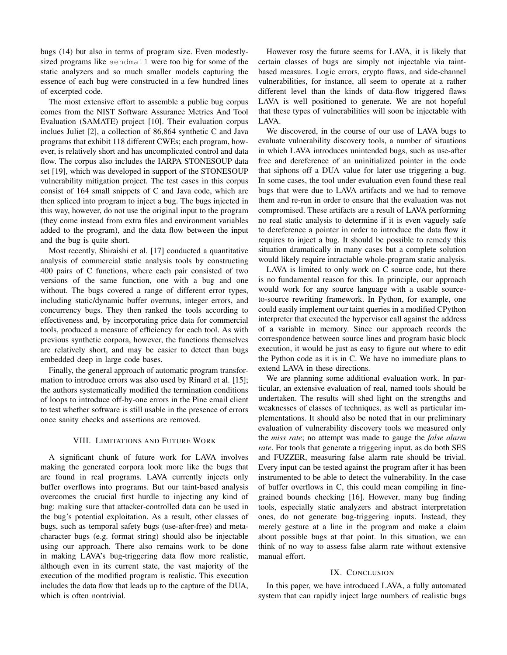bugs (14) but also in terms of program size. Even modestlysized programs like sendmail were too big for some of the static analyzers and so much smaller models capturing the essence of each bug were constructed in a few hundred lines of excerpted code.

The most extensive effort to assemble a public bug corpus comes from the NIST Software Assurance Metrics And Tool Evaluation (SAMATE) project [10]. Their evaluation corpus inclues Juliet [2], a collection of 86,864 synthetic C and Java programs that exhibit 118 different CWEs; each program, however, is relatively short and has uncomplicated control and data flow. The corpus also includes the IARPA STONESOUP data set [19], which was developed in support of the STONESOUP vulnerability mitigation project. The test cases in this corpus consist of 164 small snippets of C and Java code, which are then spliced into program to inject a bug. The bugs injected in this way, however, do not use the original input to the program (they come instead from extra files and environment variables added to the program), and the data flow between the input and the bug is quite short.

Most recently, Shiraishi et al. [17] conducted a quantitative analysis of commercial static analysis tools by constructing 400 pairs of C functions, where each pair consisted of two versions of the same function, one with a bug and one without. The bugs covered a range of different error types, including static/dynamic buffer overruns, integer errors, and concurrency bugs. They then ranked the tools according to effectiveness and, by incorporating price data for commercial tools, produced a measure of efficiency for each tool. As with previous synthetic corpora, however, the functions themselves are relatively short, and may be easier to detect than bugs embedded deep in large code bases.

Finally, the general approach of automatic program transformation to introduce errors was also used by Rinard et al. [15]; the authors systematically modified the termination conditions of loops to introduce off-by-one errors in the Pine email client to test whether software is still usable in the presence of errors once sanity checks and assertions are removed.

## VIII. LIMITATIONS AND FUTURE WORK

A significant chunk of future work for LAVA involves making the generated corpora look more like the bugs that are found in real programs. LAVA currently injects only buffer overflows into programs. But our taint-based analysis overcomes the crucial first hurdle to injecting any kind of bug: making sure that attacker-controlled data can be used in the bug's potential exploitation. As a result, other classes of bugs, such as temporal safety bugs (use-after-free) and metacharacter bugs (e.g. format string) should also be injectable using our approach. There also remains work to be done in making LAVA's bug-triggering data flow more realistic, although even in its current state, the vast majority of the execution of the modified program is realistic. This execution includes the data flow that leads up to the capture of the DUA, which is often nontrivial.

However rosy the future seems for LAVA, it is likely that certain classes of bugs are simply not injectable via taintbased measures. Logic errors, crypto flaws, and side-channel vulnerabilities, for instance, all seem to operate at a rather different level than the kinds of data-flow triggered flaws LAVA is well positioned to generate. We are not hopeful that these types of vulnerabilities will soon be injectable with LAVA.

We discovered, in the course of our use of LAVA bugs to evaluate vulnerability discovery tools, a number of situations in which LAVA introduces unintended bugs, such as use-after free and dereference of an uninitialized pointer in the code that siphons off a DUA value for later use triggering a bug. In some cases, the tool under evaluation even found these real bugs that were due to LAVA artifacts and we had to remove them and re-run in order to ensure that the evaluation was not compromised. These artifacts are a result of LAVA performing no real static analysis to determine if it is even vaguely safe to dereference a pointer in order to introduce the data flow it requires to inject a bug. It should be possible to remedy this situation dramatically in many cases but a complete solution would likely require intractable whole-program static analysis.

LAVA is limited to only work on C source code, but there is no fundamental reason for this. In principle, our approach would work for any source language with a usable sourceto-source rewriting framework. In Python, for example, one could easily implement our taint queries in a modified CPython interpreter that executed the hypervisor call against the address of a variable in memory. Since our approach records the correspondence between source lines and program basic block execution, it would be just as easy to figure out where to edit the Python code as it is in C. We have no immediate plans to extend LAVA in these directions.

We are planning some additional evaluation work. In particular, an extensive evaluation of real, named tools should be undertaken. The results will shed light on the strengths and weaknesses of classes of techniques, as well as particular implementations. It should also be noted that in our preliminary evaluation of vulnerability discovery tools we measured only the *miss rate*; no attempt was made to gauge the *false alarm rate*. For tools that generate a triggering input, as do both SES and FUZZER, measuring false alarm rate should be trivial. Every input can be tested against the program after it has been instrumented to be able to detect the vulnerability. In the case of buffer overflows in C, this could mean compiling in finegrained bounds checking [16]. However, many bug finding tools, especially static analyzers and abstract interpretation ones, do not generate bug-triggering inputs. Instead, they merely gesture at a line in the program and make a claim about possible bugs at that point. In this situation, we can think of no way to assess false alarm rate without extensive manual effort.

## IX. CONCLUSION

In this paper, we have introduced LAVA, a fully automated system that can rapidly inject large numbers of realistic bugs